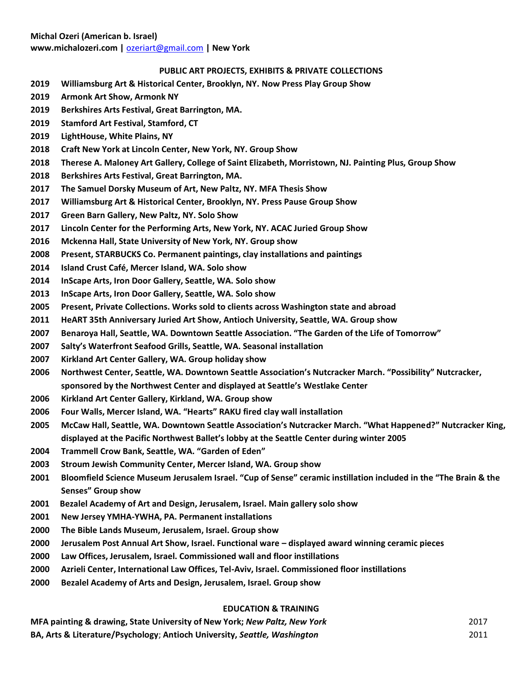## **PUBLIC ART PROJECTS, EXHIBITS & PRIVATE COLLECTIONS**

- **2019 Williamsburg Art & Historical Center, Brooklyn, NY. Now Press Play Group Show**
- **2019 Armonk Art Show, Armonk NY**
- **2019 Berkshires Arts Festival, Great Barrington, MA.**
- **2019 Stamford Art Festival, Stamford, CT**
- **2019 LightHouse, White Plains, NY**
- **2018 Craft New York at Lincoln Center, New York, NY. Group Show**
- **2018 Therese A. Maloney Art Gallery, College of Saint Elizabeth, Morristown, NJ. Painting Plus, Group Show**
- **2018 Berkshires Arts Festival, Great Barrington, MA.**
- **2017 The Samuel Dorsky Museum of Art, New Paltz, NY. MFA Thesis Show**
- **2017 Williamsburg Art & Historical Center, Brooklyn, NY. Press Pause Group Show**
- **2017 Green Barn Gallery, New Paltz, NY. Solo Show**
- **2017 Lincoln Center for the Performing Arts, New York, NY. ACAC Juried Group Show**
- **2016 Mckenna Hall, State University of New York, NY. Group show**
- **2008 Present, STARBUCKS Co. Permanent paintings, clay installations and paintings**
- **2014 Island Crust Café, Mercer Island, WA. Solo show**
- **2014 InScape Arts, Iron Door Gallery, Seattle, WA. Solo show**
- **2013 InScape Arts, Iron Door Gallery, Seattle, WA. Solo show**
- **2005 Present, Private Collections. Works sold to clients across Washington state and abroad**
- **2011 HeART 35th Anniversary Juried Art Show, Antioch University, Seattle, WA. Group show**
- **2007 Benaroya Hall, Seattle, WA. Downtown Seattle Association. "The Garden of the Life of Tomorrow"**
- **2007 Salty's Waterfront Seafood Grills, Seattle, WA. Seasonal installation**
- **2007 Kirkland Art Center Gallery, WA. Group holiday show**
- **2006 Northwest Center, Seattle, WA. Downtown Seattle Association's Nutcracker March. "Possibility" Nutcracker, sponsored by the Northwest Center and displayed at Seattle's Westlake Center**
- **2006 Kirkland Art Center Gallery, Kirkland, WA. Group show**
- **2006 Four Walls, Mercer Island, WA. "Hearts" RAKU fired clay wall installation**
- **2005 McCaw Hall, Seattle, WA. Downtown Seattle Association's Nutcracker March. "What Happened?" Nutcracker King, displayed at the Pacific Northwest Ballet's lobby at the Seattle Center during winter 2005**
- **2004 Trammell Crow Bank, Seattle, WA. "Garden of Eden"**
- **2003 Stroum Jewish Community Center, Mercer Island, WA. Group show**
- **2001 Bloomfield Science Museum Jerusalem Israel. "Cup of Sense" ceramic instillation included in the "The Brain & the Senses" Group show**
- **2001 Bezalel Academy of Art and Design, Jerusalem, Israel. Main gallery solo show**
- **2001 New Jersey YMHA-YWHA, PA. Permanent installations**
- **2000 The Bible Lands Museum, Jerusalem, Israel. Group show**
- **2000 Jerusalem Post Annual Art Show, Israel. Functional ware – displayed award winning ceramic pieces**
- **2000 Law Offices, Jerusalem, Israel. Commissioned wall and floor instillations**
- **2000 Azrieli Center, International Law Offices, Tel-Aviv, Israel. Commissioned floor instillations**
- **2000 Bezalel Academy of Arts and Design, Jerusalem, Israel. Group show**

## **EDUCATION & TRAINING**

**MFA painting & drawing, State University of New York;** *New Paltz, New York* 2017 **BA, Arts & Literature/Psychology**; **Antioch University,** *Seattle, Washington* 2011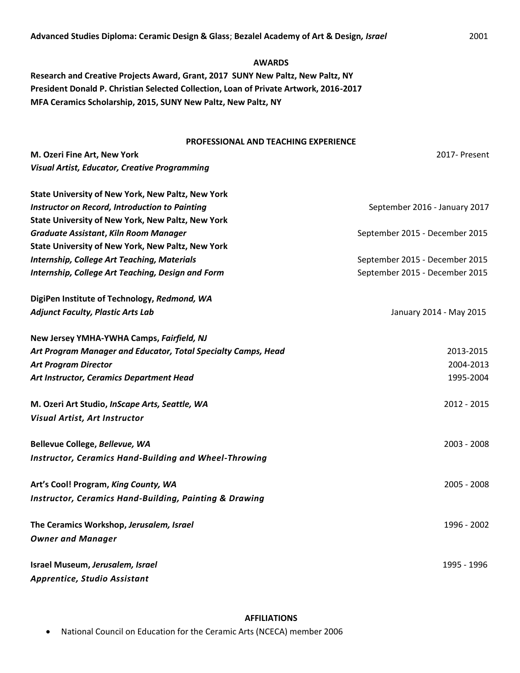#### **AWARDS**

**Research and Creative Projects Award, Grant, 2017 SUNY New Paltz, New Paltz, NY President Donald P. Christian Selected Collection, Loan of Private Artwork, 2016-2017 MFA Ceramics Scholarship, 2015, SUNY New Paltz, New Paltz, NY**

# **PROFESSIONAL AND TEACHING EXPERIENCE**

| M. Ozeri Fine Art, New York                                       | 2017- Present                  |
|-------------------------------------------------------------------|--------------------------------|
| <b>Visual Artist, Educator, Creative Programming</b>              |                                |
| <b>State University of New York, New Paltz, New York</b>          |                                |
| <b>Instructor on Record, Introduction to Painting</b>             | September 2016 - January 2017  |
| <b>State University of New York, New Paltz, New York</b>          |                                |
| <b>Graduate Assistant, Kiln Room Manager</b>                      | September 2015 - December 2015 |
| State University of New York, New Paltz, New York                 |                                |
| <b>Internship, College Art Teaching, Materials</b>                | September 2015 - December 2015 |
| Internship, College Art Teaching, Design and Form                 | September 2015 - December 2015 |
| DigiPen Institute of Technology, Redmond, WA                      |                                |
| <b>Adjunct Faculty, Plastic Arts Lab</b>                          | January 2014 - May 2015        |
| New Jersey YMHA-YWHA Camps, Fairfield, NJ                         |                                |
| Art Program Manager and Educator, Total Specialty Camps, Head     | 2013-2015                      |
| <b>Art Program Director</b>                                       | 2004-2013                      |
| Art Instructor, Ceramics Department Head                          | 1995-2004                      |
| M. Ozeri Art Studio, InScape Arts, Seattle, WA                    | 2012 - 2015                    |
| Visual Artist, Art Instructor                                     |                                |
| Bellevue College, Bellevue, WA                                    | 2003 - 2008                    |
| Instructor, Ceramics Hand-Building and Wheel-Throwing             |                                |
| Art's Cool! Program, King County, WA                              | 2005 - 2008                    |
| <b>Instructor, Ceramics Hand-Building, Painting &amp; Drawing</b> |                                |
| The Ceramics Workshop, Jerusalem, Israel                          | 1996 - 2002                    |
| <b>Owner and Manager</b>                                          |                                |
| Israel Museum, Jerusalem, Israel                                  | 1995 - 1996                    |
| Apprentice, Studio Assistant                                      |                                |

### **AFFILIATIONS**

• National Council on Education for the Ceramic Arts (NCECA) member 2006